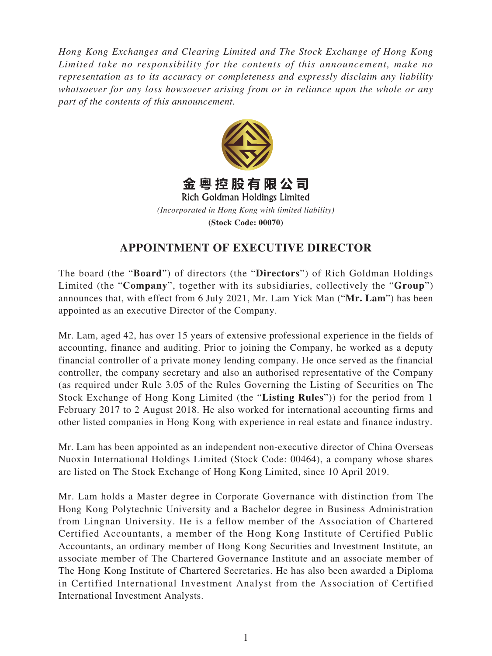*Hong Kong Exchanges and Clearing Limited and The Stock Exchange of Hong Kong Limited take no responsibility for the contents of this announcement, make no representation as to its accuracy or completeness and expressly disclaim any liability whatsoever for any loss howsoever arising from or in reliance upon the whole or any part of the contents of this announcement.*



**(Stock Code: 00070)**

## **APPOINTMENT OF EXECUTIVE DIRECTOR**

The board (the "**Board**") of directors (the "**Directors**") of Rich Goldman Holdings Limited (the "**Company**", together with its subsidiaries, collectively the "**Group**") announces that, with effect from 6 July 2021, Mr. Lam Yick Man ("**Mr. Lam**") has been appointed as an executive Director of the Company.

Mr. Lam, aged 42, has over 15 years of extensive professional experience in the fields of accounting, finance and auditing. Prior to joining the Company, he worked as a deputy financial controller of a private money lending company. He once served as the financial controller, the company secretary and also an authorised representative of the Company (as required under Rule 3.05 of the Rules Governing the Listing of Securities on The Stock Exchange of Hong Kong Limited (the "**Listing Rules**")) for the period from 1 February 2017 to 2 August 2018. He also worked for international accounting firms and other listed companies in Hong Kong with experience in real estate and finance industry.

Mr. Lam has been appointed as an independent non-executive director of China Overseas Nuoxin International Holdings Limited (Stock Code: 00464), a company whose shares are listed on The Stock Exchange of Hong Kong Limited, since 10 April 2019.

Mr. Lam holds a Master degree in Corporate Governance with distinction from The Hong Kong Polytechnic University and a Bachelor degree in Business Administration from Lingnan University. He is a fellow member of the Association of Chartered Certified Accountants, a member of the Hong Kong Institute of Certified Public Accountants, an ordinary member of Hong Kong Securities and Investment Institute, an associate member of The Chartered Governance Institute and an associate member of The Hong Kong Institute of Chartered Secretaries. He has also been awarded a Diploma in Certified International Investment Analyst from the Association of Certified International Investment Analysts.